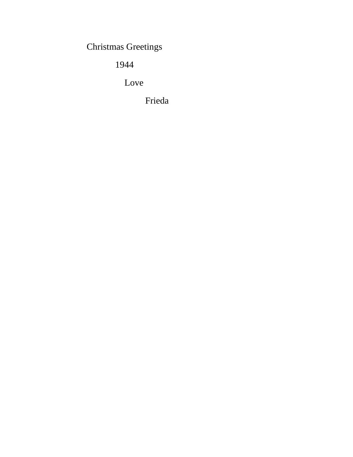Christmas Greetings

1944

Love

Frieda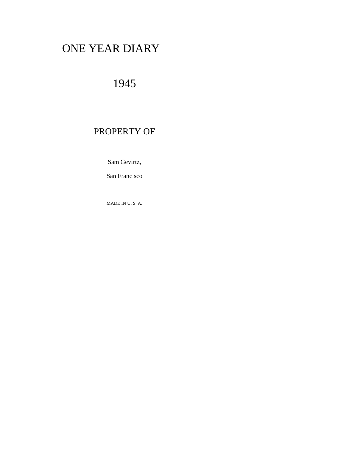# ONE YEAR DIARY

## 1945

## PROPERTY OF

Sam Gevirtz,

San Francisco

MADE IN U. S. A.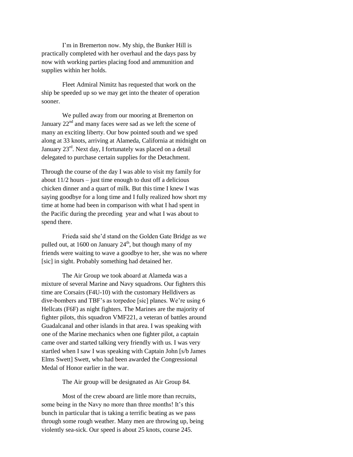I'm in Bremerton now. My ship, the Bunker Hill is practically completed with her overhaul and the days pass by now with working parties placing food and ammunition and supplies within her holds.

Fleet Admiral Nimitz has requested that work on the ship be speeded up so we may get into the theater of operation sooner.

We pulled away from our mooring at Bremerton on January  $22<sup>nd</sup>$  and many faces were sad as we left the scene of many an exciting liberty. Our bow pointed south and we sped along at 33 knots, arriving at Alameda, California at midnight on January  $23^{rd}$ . Next day, I fortunately was placed on a detail delegated to purchase certain supplies for the Detachment.

Through the course of the day I was able to visit my family for about  $11/2$  hours – just time enough to dust off a delicious chicken dinner and a quart of milk. But this time I knew I was saying goodbye for a long time and I fully realized how short my time at home had been in comparison with what I had spent in the Pacific during the preceding year and what I was about to spend there.

Frieda said she'd stand on the Golden Gate Bridge as we pulled out, at 1600 on January  $24<sup>th</sup>$ , but though many of my friends were waiting to wave a goodbye to her, she was no where [sic] in sight. Probably something had detained her.

The Air Group we took aboard at Alameda was a mixture of several Marine and Navy squadrons. Our fighters this time are Corsairs (F4U-10) with the customary Helldivers as dive-bombers and TBF's as torpedoe [sic] planes. We're using 6 Hellcats (F6F) as night fighters. The Marines are the majority of fighter pilots, this squadron VMF221, a veteran of battles around Guadalcanal and other islands in that area. I was speaking with one of the Marine mechanics when one fighter pilot, a captain came over and started talking very friendly with us. I was very startled when I saw I was speaking with Captain John [s/b James Elms Swett] Swett, who had been awarded the Congressional Medal of Honor earlier in the war.

The Air group will be designated as Air Group 84.

Most of the crew aboard are little more than recruits, some being in the Navy no more than three months! It's this bunch in particular that is taking a terrific beating as we pass through some rough weather. Many men are throwing up, being violently sea-sick. Our speed is about 25 knots, course 245.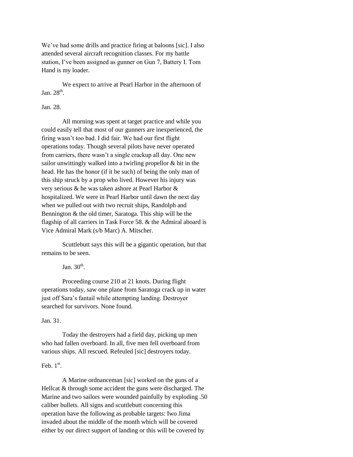We've had some drills and practice firing at baloons [sic]. I also attended several aircraft recognition classes. For my battle station, I've been assigned as gunner on Gun 7, Battery I. Tom Hand is my loader.

We expect to arrive at Pearl Harbor in the afternoon of Jan.  $28<sup>th</sup>$ .

## Jan. 28.

All morning was spent at target practice and while you could easily tell that most of our gunners are inexperienced, the firing wasn't too bad. I did fair. We had our first flight operations today. Though several pilots have never operated from carriers, there wasn't a single crackup all day. One new sailor unwittingly walked into a twirling propellor & hit in the head. He has the honor (if it be such) of being the only man of this ship struck by a prop who lived. However his injury was very serious & he was taken ashore at Pearl Harbor & hospitalized. We were in Pearl Harbor until dawn the next day when we pulled out with two recruit ships, Randolph and Bennington & the old timer, Saratoga. This ship will be the flagship of all carriers in Task Force 58. & the Admiral aboard is Vice Admiral Mark (s/b Marc) A. Mitscher.

Scuttlebutt says this will be a gigantic operation, but that remains to be seen.

Jan.  $30<sup>th</sup>$ .

Proceeding course 210 at 21 knots. During flight operations today, saw one plane from Saratoga crack up in water just off Sara's fantail while attempting landing. Destroyer searched for survivors. None found.

Jan. 31.

Today the destroyers had a field day, picking up men who had fallen overboard. In all, five men fell overboard from various ships. All rescued. Refeuled [sic] destroyers today.

## Feb.  $1<sup>st</sup>$ .

A Marine ordnanceman [sic] worked on the guns of a Hellcat & through some accident the guns were discharged. The Marine and two sailors were wounded painfully by exploding .50 caliber bullets. All signs and scuttlebutt concerning this operation have the following as probable targets: Iwo Jima invaded about the middle of the month which will be covered either by our direct support of landing or this will be covered by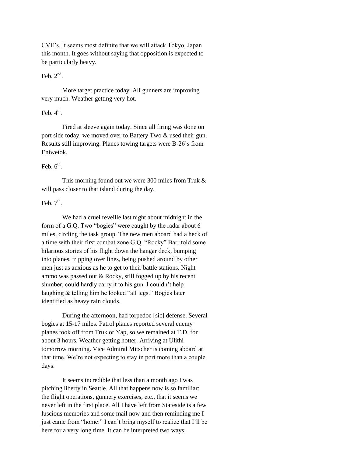CVE's. It seems most definite that we will attack Tokyo, Japan this month. It goes without saying that opposition is expected to be particularly heavy.

## Feb.  $2<sup>nd</sup>$ .

More target practice today. All gunners are improving very much. Weather getting very hot.

## Feb.  $4^{\text{th}}$ .

Fired at sleeve again today. Since all firing was done on port side today, we moved over to Battery Two & used their gun. Results still improving. Planes towing targets were B-26's from Eniwetok.

## Feb.  $6^{\text{th}}$ .

This morning found out we were 300 miles from Truk & will pass closer to that island during the day.

## Feb.  $7<sup>th</sup>$ .

We had a cruel reveille last night about midnight in the form of a G.Q. Two "bogies" were caught by the radar about 6 miles, circling the task group. The new men aboard had a heck of a time with their first combat zone G.Q. "Rocky" Barr told some hilarious stories of his flight down the hangar deck, bumping into planes, tripping over lines, being pushed around by other men just as anxious as he to get to their battle stations. Night ammo was passed out & Rocky, still fogged up by his recent slumber, could hardly carry it to his gun. I couldn't help laughing & telling him he looked "all legs." Bogies later identified as heavy rain clouds.

During the afternoon, had torpedoe [sic] defense. Several bogies at 15-17 miles. Patrol planes reported several enemy planes took off from Truk or Yap, so we remained at T.D. for about 3 hours. Weather getting hotter. Arriving at Ulithi tomorrow morning. Vice Admiral Mitscher is coming aboard at that time. We're not expecting to stay in port more than a couple days.

It seems incredible that less than a month ago I was pitching liberty in Seattle. All that happens now is so familiar: the flight operations, gunnery exercises, etc., that it seems we never left in the first place. All I have left from Stateside is a few luscious memories and some mail now and then reminding me I just came from "home:" I can't bring myself to realize that I'll be here for a very long time. It can be interpreted two ways: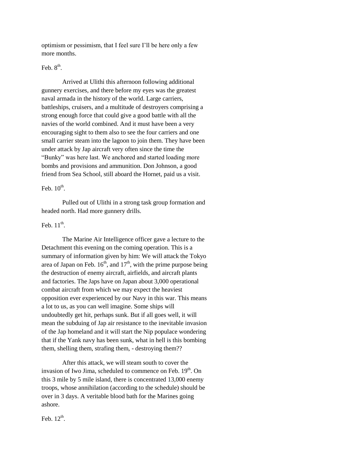optimism or pessimism, that I feel sure I'll be here only a few more months.

## Feb.  $8^{\text{th}}$ .

Arrived at Ulithi this afternoon following additional gunnery exercises, and there before my eyes was the greatest naval armada in the history of the world. Large carriers, battleships, cruisers, and a multitude of destroyers comprising a strong enough force that could give a good battle with all the navies of the world combined. And it must have been a very encouraging sight to them also to see the four carriers and one small carrier steam into the lagoon to join them. They have been under attack by Jap aircraft very often since the time the "Bunky" was here last. We anchored and started loading more bombs and provisions and ammunition. Don Johnson, a good friend from Sea School, still aboard the Hornet, paid us a visit.

## Feb.  $10^{\text{th}}$ .

Pulled out of Ulithi in a strong task group formation and headed north. Had more gunnery drills.

## Feb.  $11<sup>th</sup>$ .

The Marine Air Intelligence officer gave a lecture to the Detachment this evening on the coming operation. This is a summary of information given by him: We will attack the Tokyo area of Japan on Feb.  $16<sup>th</sup>$ , and  $17<sup>th</sup>$ , with the prime purpose being the destruction of enemy aircraft, airfields, and aircraft plants and factories. The Japs have on Japan about 3,000 operational combat aircraft from which we may expect the heaviest opposition ever experienced by our Navy in this war. This means a lot to us, as you can well imagine. Some ships will undoubtedly get hit, perhaps sunk. But if all goes well, it will mean the subduing of Jap air resistance to the inevitable invasion of the Jap homeland and it will start the Nip populace wondering that if the Yank navy has been sunk, what in hell is this bombing them, shelling them, strafing them, - destroying them??

After this attack, we will steam south to cover the invasion of Iwo Jima, scheduled to commence on Feb. 19<sup>th</sup>. On this 3 mile by 5 mile island, there is concentrated 13,000 enemy troops, whose annihilation (according to the schedule) should be over in 3 days. A veritable blood bath for the Marines going ashore.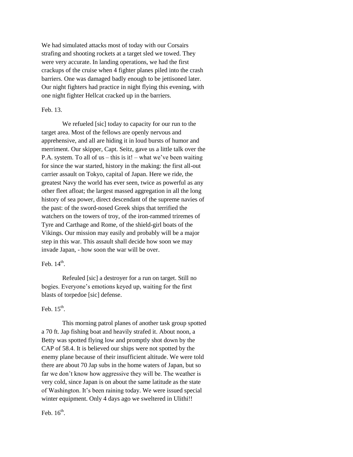We had simulated attacks most of today with our Corsairs strafing and shooting rockets at a target sled we towed. They were very accurate. In landing operations, we had the first crackups of the cruise when 4 fighter planes piled into the crash barriers. One was damaged badly enough to be jettisoned later. Our night fighters had practice in night flying this evening, with one night fighter Hellcat cracked up in the barriers.

## Feb. 13.

We refueled [sic] today to capacity for our run to the target area. Most of the fellows are openly nervous and apprehensive, and all are hiding it in loud bursts of humor and merriment. Our skipper, Capt. Seitz, gave us a little talk over the P.A. system. To all of us – this is it! – what we've been waiting for since the war started, history in the making: the first all-out carrier assault on Tokyo, capital of Japan. Here we ride, the greatest Navy the world has ever seen, twice as powerful as any other fleet afloat; the largest massed aggregation in all the long history of sea power, direct descendant of the supreme navies of the past: of the sword-nosed Greek ships that terrified the watchers on the towers of troy, of the iron-rammed triremes of Tyre and Carthage and Rome, of the shield-girl boats of the Vikings. Our mission may easily and probably will be a major step in this war. This assault shall decide how soon we may invade Japan, - how soon the war will be over.

## Feb.  $14<sup>th</sup>$ .

Refeuled [sic] a destroyer for a run on target. Still no bogies. Everyone's emotions keyed up, waiting for the first blasts of torpedoe [sic] defense.

## Feb.  $15<sup>th</sup>$ .

This morning patrol planes of another task group spotted a 70 ft. Jap fishing boat and heavily strafed it. About noon, a Betty was spotted flying low and promptly shot down by the CAP of 58.4. It is believed our ships were not spotted by the enemy plane because of their insufficient altitude. We were told there are about 70 Jap subs in the home waters of Japan, but so far we don't know how aggressive they will be. The weather is very cold, since Japan is on about the same latitude as the state of Washington. It's been raining today. We were issued special winter equipment. Only 4 days ago we sweltered in Ulithi!!

Feb.  $16<sup>th</sup>$ .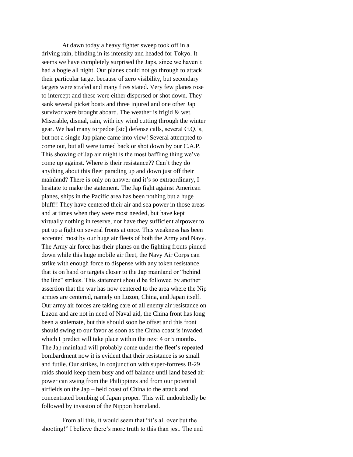At dawn today a heavy fighter sweep took off in a driving rain, blinding in its intensity and headed for Tokyo. It seems we have completely surprised the Japs, since we haven't had a bogie all night. Our planes could not go through to attack their particular target because of zero visibility, but secondary targets were strafed and many fires stated. Very few planes rose to intercept and these were either dispersed or shot down. They sank several picket boats and three injured and one other Jap survivor were brought aboard. The weather is frigid & wet. Miserable, dismal, rain, with icy wind cutting through the winter gear. We had many torpedoe [sic] defense calls, several G.Q.'s, but not a single Jap plane came into view! Several attempted to come out, but all were turned back or shot down by our C.A.P. This showing of Jap air might is the most baffling thing we've come up against. Where is their resistance?? Can't they do anything about this fleet parading up and down just off their mainland? There is only on answer and it's so extraordinary, I hesitate to make the statement. The Jap fight against American planes, ships in the Pacific area has been nothing but a huge bluff!! They have centered their air and sea power in those areas and at times when they were most needed, but have kept virtually nothing in reserve, nor have they sufficient airpower to put up a fight on several fronts at once. This weakness has been accented most by our huge air fleets of both the Army and Navy. The Army air force has their planes on the fighting fronts pinned down while this huge mobile air fleet, the Navy Air Corps can strike with enough force to dispense with any token resistance that is on hand or targets closer to the Jap mainland or "behind the line" strikes. This statement should be followed by another assertion that the war has now centered to the area where the Nip armies are centered, namely on Luzon, China, and Japan itself. Our army air forces are taking care of all enemy air resistance on Luzon and are not in need of Naval aid, the China front has long been a stalemate, but this should soon be offset and this front should swing to our favor as soon as the China coast is invaded, which I predict will take place within the next 4 or 5 months. The Jap mainland will probably come under the fleet's repeated bombardment now it is evident that their resistance is so small and futile. Our strikes, in conjunction with super-fortress B-29 raids should keep them busy and off balance until land based air power can swing from the Philippines and from our potential airfields on the Jap – held coast of China to the attack and concentrated bombing of Japan proper. This will undoubtedly be followed by invasion of the Nippon homeland.

From all this, it would seem that "it's all over but the shooting!" I believe there's more truth to this than jest. The end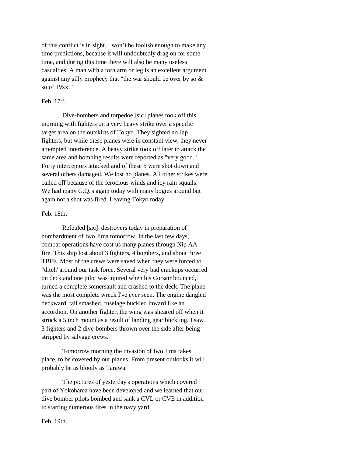of this conflict is in sight. I won't be foolish enough to make any time predictions, because it will undoubtedly drag on for some time, and during this time there will also be many useless casualties. A man with a torn arm or leg is an excellent argument against any silly prophecy that "the war should be over by so & so of  $19xx$ ."

## Feb.  $17<sup>th</sup>$ .

Dive-bombers and torpedoe [sic] planes took off this morning with fighters on a very heavy strike over a specific target area on the outskirts of Tokyo. They sighted no Jap fighters, but while these planes were in constant view, they never attempted interference. A heavy strike took off later to attack the same area and bombing results were reported as "very good." Forty interceptors attacked and of these 5 were shot down and several others damaged. We lost no planes. All other strikes were called off because of the ferocious winds and icy rain squalls. We had many G.Q.'s again today with many bogies around but again not a shot was fired. Leaving Tokyo today.

#### Feb. 18th.

Refeuled [sic] destroyers today in preparation of bombardment of Iwo Jima tomorrow. In the last few days, combat operations have cost us many planes through Nip AA fire. This ship lost about 3 fighters, 4 bombers, and about three TBF's. Most of the crews were saved when they were forced to "ditch' around our task force. Several very bad crackups occurred on deck and one pilot was injured when his Corsair bounced, turned a complete somersault and crashed to the deck. The plane was the most complete wreck I've ever seen. The engine dangled deckward, tail smashed, fuselage buckled inward like an accordion. On another fighter, the wing was sheared off when it struck a 5 inch mount as a result of landing gear buckling. I saw 3 fighters and 2 dive-bombers thrown over the side after being stripped by salvage crews.

Tomorrow morning the invasion of Iwo Jima takes place, to be covered by our planes. From present outlooks it will probably be as bloody as Tarawa.

The pictures of yesterday's operations which covered part of Yokohama have been developed and we learned that our dive bomber pilots bombed and sank a CVL or CVE in addition to starting numerous fires in the navy yard.

Feb. 19th.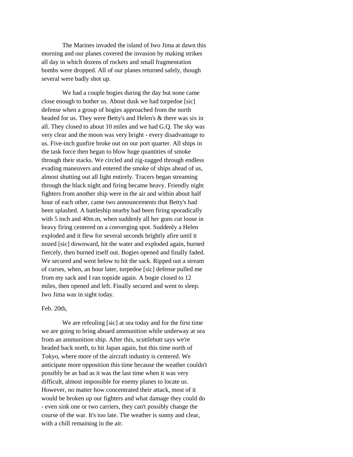The Marines invaded the island of Iwo Jima at dawn this morning and our planes covered the invasion by making strikes all day in which dozens of rockets and small fragmentation bombs were dropped. All of our planes returned safely, though several were badly shot up.

We had a couple bogies during the day but none came close enough to bother us. About dusk we had torpedoe [sic] defense when a group of bogies approached from the north headed for us. They were Betty's and Helen's & there was six in all. They closed to about 10 miles and we had G.Q. The sky was very clear and the moon was very bright - every disadvantage to us. Five-inch gunfire broke out on our port quarter. All ships in the task force then began to blow huge quantities of smoke through their stacks. We circled and zig-zagged through endless evading maneuvers and entered the smoke of ships ahead of us, almost shutting out all light entirely. Tracers began streaming through the black night and firing became heavy. Friendly night fighters from another ship were in the air and within about half hour of each other, came two announcements that Betty's had been splashed. A battleship nearby had been firing sporadically with 5 inch and 40m.m, when suddenly all her guns cut loose in heavy firing centered on a converging spot. Suddenly a Helen exploded and it flew for several seconds brightly afire until it nozed [sic] downward, hit the water and exploded again, burned fiercely, then burned itself out. Bogies opened and finally faded. We secured and went below to hit the sack. Ripped out a stream of curses, when, an hour later, torpedoe [sic] defense pulled me from my sack and I ran topside again. A bogie closed to 12 miles, then opened and left. Finally secured and went to sleep. Iwo Jima was in sight today.

#### Feb. 20th,

We are refeuling [sic] at sea today and for the first time we are going to bring aboard ammunition while underway at sea from an ammunition ship. After this, scuttlebutt says we're headed back north, to hit Japan again, but this time north of Tokyo, where more of the aircraft industry is centered. We anticipate more opposition this time because the weather couldn't possibly be as bad as it was the last time when it was very difficult, almost impossible for enemy planes to locate us. However, no matter how concentrated their attack, most of it would be broken up our fighters and what damage they could do - even sink one or two carriers, they can't possibly change the course of the war. It's too late. The weather is sunny and clear, with a chill remaining in the air.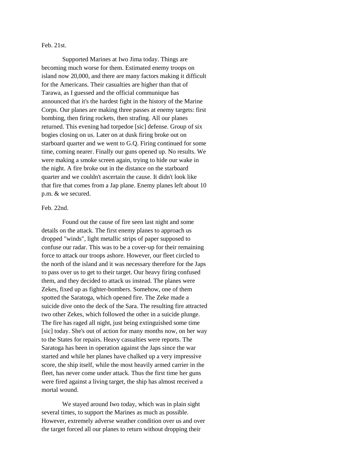## Feb. 21st.

Supported Marines at Iwo Jima today. Things are becoming much worse for them. Estimated enemy troops on island now 20,000, and there are many factors making it difficult for the Americans. Their casualties are higher than that of Tarawa, as I guessed and the official communique has announced that it's the hardest fight in the history of the Marine Corps. Our planes are making three passes at enemy targets: first bombing, then firing rockets, then strafing. All our planes returned. This evening had torpedoe [sic] defense. Group of six bogies closing on us. Later on at dusk firing broke out on starboard quarter and we went to G.Q. Firing continued for some time, coming nearer. Finally our guns opened up. No results. We were making a smoke screen again, trying to hide our wake in the night. A fire broke out in the distance on the starboard quarter and we couldn't ascertain the cause. It didn't look like that fire that comes from a Jap plane. Enemy planes left about 10 p.m. & we secured.

## Feb. 22nd.

Found out the cause of fire seen last night and some details on the attack. The first enemy planes to approach us dropped "winds", light metallic strips of paper supposed to confuse our radar. This was to be a cover-up for their remaining force to attack our troops ashore. However, our fleet circled to the north of the island and it was necessary therefore for the Japs to pass over us to get to their target. Our heavy firing confused them, and they decided to attack us instead. The planes were Zekes, fixed up as fighter-bombers. Somehow, one of them spotted the Saratoga, which opened fire. The Zeke made a suicide dive onto the deck of the Sara. The resulting fire attracted two other Zekes, which followed the other in a suicide plunge. The fire has raged all night, just being extinguished some time [sic] today. She's out of action for many months now, on her way to the States for repairs. Heavy casualties were reports. The Saratoga has been in operation against the Japs since the war started and while her planes have chalked up a very impressive score, the ship itself, while the most heavily armed carrier in the fleet, has never come under attack. Thus the first time her guns were fired against a living target, the ship has almost received a mortal wound.

We stayed around Iwo today, which was in plain sight several times, to support the Marines as much as possible. However, extremely adverse weather condition over us and over the target forced all our planes to return without dropping their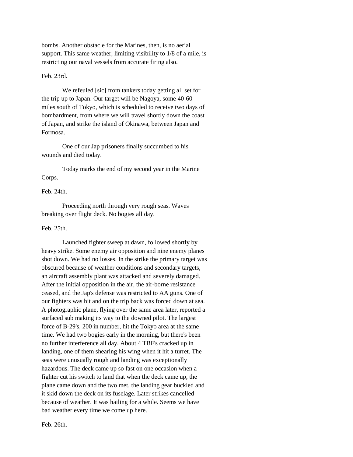bombs. Another obstacle for the Marines, then, is no aerial support. This same weather, limiting visibility to 1/8 of a mile, is restricting our naval vessels from accurate firing also.

## Feb. 23rd.

We refeuled [sic] from tankers today getting all set for the trip up to Japan. Our target will be Nagoya, some 40-60 miles south of Tokyo, which is scheduled to receive two days of bombardment, from where we will travel shortly down the coast of Japan, and strike the island of Okinawa, between Japan and Formosa.

One of our Jap prisoners finally succumbed to his wounds and died today.

Today marks the end of my second year in the Marine Corps.

## Feb. 24th.

Proceeding north through very rough seas. Waves breaking over flight deck. No bogies all day.

## Feb. 25th.

Launched fighter sweep at dawn, followed shortly by heavy strike. Some enemy air opposition and nine enemy planes shot down. We had no losses. In the strike the primary target was obscured because of weather conditions and secondary targets, an aircraft assembly plant was attacked and severely damaged. After the initial opposition in the air, the air-borne resistance ceased, and the Jap's defense was restricted to AA guns. One of our fighters was hit and on the trip back was forced down at sea. A photographic plane, flying over the same area later, reported a surfaced sub making its way to the downed pilot. The largest force of B-29's, 200 in number, hit the Tokyo area at the same time. We had two bogies early in the morning, but there's been no further interference all day. About 4 TBF's cracked up in landing, one of them shearing his wing when it hit a turret. The seas were unusually rough and landing was exceptionally hazardous. The deck came up so fast on one occasion when a fighter cut his switch to land that when the deck came up, the plane came down and the two met, the landing gear buckled and it skid down the deck on its fuselage. Later strikes cancelled because of weather. It was hailing for a while. Seems we have bad weather every time we come up here.

Feb. 26th.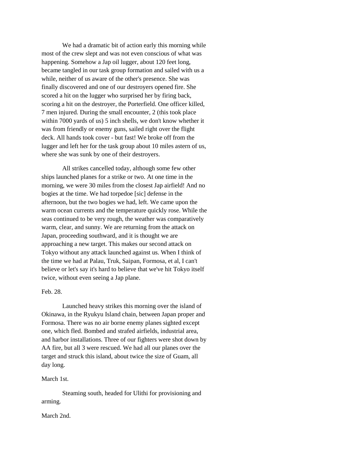We had a dramatic bit of action early this morning while most of the crew slept and was not even conscious of what was happening. Somehow a Jap oil lugger, about 120 feet long, became tangled in our task group formation and sailed with us a while, neither of us aware of the other's presence. She was finally discovered and one of our destroyers opened fire. She scored a hit on the lugger who surprised her by firing back, scoring a hit on the destroyer, the Porterfield. One officer killed, 7 men injured. During the small encounter, 2 (this took place within 7000 yards of us) 5 inch shells, we don't know whether it was from friendly or enemy guns, sailed right over the flight deck. All hands took cover - but fast! We broke off from the lugger and left her for the task group about 10 miles astern of us, where she was sunk by one of their destroyers.

All strikes cancelled today, although some few other ships launched planes for a strike or two. At one time in the morning, we were 30 miles from the closest Jap airfield! And no bogies at the time. We had torpedoe [sic] defense in the afternoon, but the two bogies we had, left. We came upon the warm ocean currents and the temperature quickly rose. While the seas continued to be very rough, the weather was comparatively warm, clear, and sunny. We are returning from the attack on Japan, proceeding southward, and it is thought we are approaching a new target. This makes our second attack on Tokyo without any attack launched against us. When I think of the time we had at Palau, Truk, Saipan, Formosa, et al, I can't believe or let's say it's hard to believe that we've hit Tokyo itself twice, without even seeing a Jap plane.

## Feb. 28.

Launched heavy strikes this morning over the island of Okinawa, in the Ryukyu Island chain, between Japan proper and Formosa. There was no air borne enemy planes sighted except one, which fled. Bombed and strafed airfields, industrial area, and harbor installations. Three of our fighters were shot down by AA fire, but all 3 were rescued. We had all our planes over the target and struck this island, about twice the size of Guam, all day long.

## March 1st.

Steaming south, headed for Ulithi for provisioning and arming.

## March 2nd.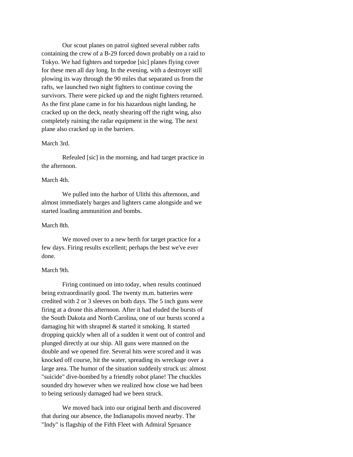Our scout planes on patrol sighted several rubber rafts containing the crew of a B-29 forced down probably on a raid to Tokyo. We had fighters and torpedoe [sic] planes flying cover for these men all day long. In the evening, with a destroyer still plowing its way through the 90 miles that separated us from the rafts, we launched two night fighters to continue coving the survivors. There were picked up and the night fighters returned. As the first plane came in for his hazardous night landing, he cracked up on the deck, neatly shearing off the right wing, also completely ruining the radar equipment in the wing. The next plane also cracked up in the barriers.

## March 3rd.

Refeuled [sic] in the morning, and had target practice in the afternoon.

#### March 4th.

We pulled into the harbor of Ulithi this afternoon, and almost immediately barges and lighters came alongside and we started loading ammunition and bombs.

#### March 8th.

We moved over to a new berth for target practice for a few days. Firing results excellent; perhaps the best we've ever done.

## March 9th.

Firing continued on into today, when results continued being extraordinarily good. The twenty m.m. batteries were credited with 2 or 3 sleeves on both days. The 5 inch guns were firing at a drone this afternoon. After it had eluded the bursts of the South Dakota and North Carolina, one of our bursts scored a damaging hit with shrapnel & started it smoking. It started dropping quickly when all of a sudden it went out of control and plunged directly at our ship. All guns were manned on the double and we opened fire. Several hits were scored and it was knocked off course, hit the water, spreading its wreckage over a large area. The humor of the situation suddenly struck us: almost "suicide" dive-bombed by a friendly robot plane! The chuckles sounded dry however when we realized how close we had been to being seriously damaged had we been struck.

We moved back into our original berth and discovered that during our absence, the Indianapolis moved nearby. The "Indy" is flagship of the Fifth Fleet with Admiral Spruance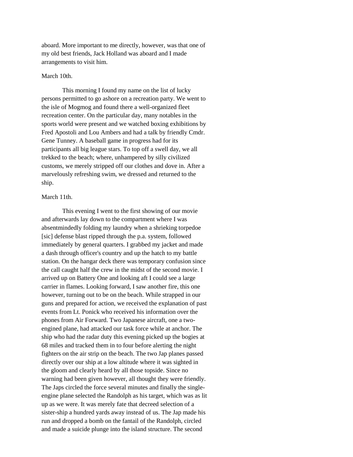aboard. More important to me directly, however, was that one of my old best friends, Jack Holland was aboard and I made arrangements to visit him.

## March 10th.

This morning I found my name on the list of lucky persons permitted to go ashore on a recreation party. We went to the isle of Mogmog and found there a well-organized fleet recreation center. On the particular day, many notables in the sports world were present and we watched boxing exhibitions by Fred Apostoli and Lou Ambers and had a talk by friendly Cmdr. Gene Tunney. A baseball game in progress had for its participants all big league stars. To top off a swell day, we all trekked to the beach; where, unhampered by silly civilized customs, we merely stripped off our clothes and dove in. After a marvelously refreshing swim, we dressed and returned to the ship.

## March 11th.

This evening I went to the first showing of our movie and afterwards lay down to the compartment where I was absentmindedly folding my laundry when a shrieking torpedoe [sic] defense blast ripped through the p.a. system, followed immediately by general quarters. I grabbed my jacket and made a dash through officer's country and up the hatch to my battle station. On the hangar deck there was temporary confusion since the call caught half the crew in the midst of the second movie. I arrived up on Battery One and looking aft I could see a large carrier in flames. Looking forward, I saw another fire, this one however, turning out to be on the beach. While strapped in our guns and prepared for action, we received the explanation of past events from Lt. Ponick who received his information over the phones from Air Forward. Two Japanese aircraft, one a twoengined plane, had attacked our task force while at anchor. The ship who had the radar duty this evening picked up the bogies at 68 miles and tracked them in to four before alerting the night fighters on the air strip on the beach. The two Jap planes passed directly over our ship at a low altitude where it was sighted in the gloom and clearly heard by all those topside. Since no warning had been given however, all thought they were friendly. The Japs circled the force several minutes and finally the singleengine plane selected the Randolph as his target, which was as lit up as we were. It was merely fate that decreed selection of a sister-ship a hundred yards away instead of us. The Jap made his run and dropped a bomb on the fantail of the Randolph, circled and made a suicide plunge into the island structure. The second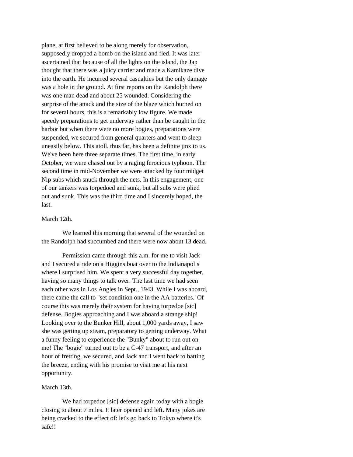plane, at first believed to be along merely for observation, supposedly dropped a bomb on the island and fled. It was later ascertained that because of all the lights on the island, the Jap thought that there was a juicy carrier and made a Kamikaze dive into the earth. He incurred several casualties but the only damage was a hole in the ground. At first reports on the Randolph there was one man dead and about 25 wounded. Considering the surprise of the attack and the size of the blaze which burned on for several hours, this is a remarkably low figure. We made speedy preparations to get underway rather than be caught in the harbor but when there were no more bogies, preparations were suspended, we secured from general quarters and went to sleep uneasily below. This atoll, thus far, has been a definite jinx to us. We've been here three separate times. The first time, in early October, we were chased out by a raging ferocious typhoon. The second time in mid-November we were attacked by four midget Nip subs which snuck through the nets. In this engagement, one of our tankers was torpedoed and sunk, but all subs were plied out and sunk. This was the third time and I sincerely hoped, the last.

## March 12th.

We learned this morning that several of the wounded on the Randolph had succumbed and there were now about 13 dead.

Permission came through this a.m. for me to visit Jack and I secured a ride on a Higgins boat over to the Indianapolis where I surprised him. We spent a very successful day together, having so many things to talk over. The last time we had seen each other was in Los Angles in Sept., 1943. While I was aboard, there came the call to "set condition one in the AA batteries.' Of course this was merely their system for having torpedoe [sic] defense. Bogies approaching and I was aboard a strange ship! Looking over to the Bunker Hill, about 1,000 yards away, I saw she was getting up steam, preparatory to getting underway. What a funny feeling to experience the "Bunky" about to run out on me! The "bogie" turned out to be a C-47 transport, and after an hour of fretting, we secured, and Jack and I went back to batting the breeze, ending with his promise to visit me at his next opportunity.

## March 13th.

We had torpedoe [sic] defense again today with a bogie closing to about 7 miles. It later opened and left. Many jokes are being cracked to the effect of: let's go back to Tokyo where it's safe!!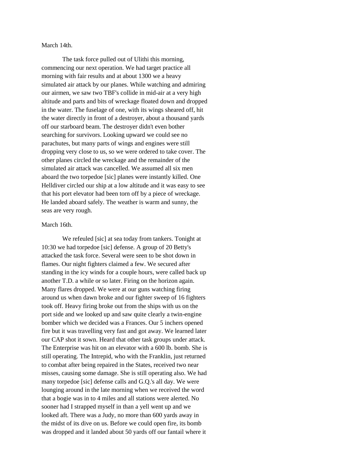March 14th.

The task force pulled out of Ulithi this morning, commencing our next operation. We had target practice all morning with fair results and at about 1300 we a heavy simulated air attack by our planes. While watching and admiring our airmen, we saw two TBF's collide in mid-air at a very high altitude and parts and bits of wreckage floated down and dropped in the water. The fuselage of one, with its wings sheared off, hit the water directly in front of a destroyer, about a thousand yards off our starboard beam. The destroyer didn't even bother searching for survivors. Looking upward we could see no parachutes, but many parts of wings and engines were still dropping very close to us, so we were ordered to take cover. The other planes circled the wreckage and the remainder of the simulated air attack was cancelled. We assumed all six men aboard the two torpedoe [sic] planes were instantly killed. One Helldiver circled our ship at a low altitude and it was easy to see that his port elevator had been torn off by a piece of wreckage. He landed aboard safely. The weather is warm and sunny, the seas are very rough.

#### March 16th.

We refeuled [sic] at sea today from tankers. Tonight at 10:30 we had torpedoe [sic] defense. A group of 20 Betty's attacked the task force. Several were seen to be shot down in flames. Our night fighters claimed a few. We secured after standing in the icy winds for a couple hours, were called back up another T.D. a while or so later. Firing on the horizon again. Many flares dropped. We were at our guns watching firing around us when dawn broke and our fighter sweep of 16 fighters took off. Heavy firing broke out from the ships with us on the port side and we looked up and saw quite clearly a twin-engine bomber which we decided was a Frances. Our 5 inchers opened fire but it was travelling very fast and got away. We learned later our CAP shot it sown. Heard that other task groups under attack. The Enterprise was hit on an elevator with a 600 lb. bomb. She is still operating. The Intrepid, who with the Franklin, just returned to combat after being repaired in the States, received two near misses, causing some damage. She is still operating also. We had many torpedoe [sic] defense calls and G.Q.'s all day. We were lounging around in the late morning when we received the word that a bogie was in to 4 miles and all stations were alerted. No sooner had I strapped myself in than a yell went up and we looked aft. There was a Judy, no more than 600 yards away in the midst of its dive on us. Before we could open fire, its bomb was dropped and it landed about 50 yards off our fantail where it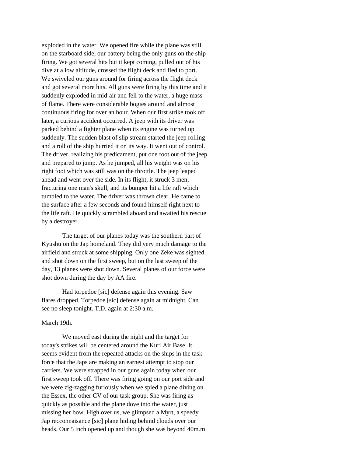exploded in the water. We opened fire while the plane was still on the starboard side, our battery being the only guns on the ship firing. We got several hits but it kept coming, pulled out of his dive at a low altitude, crossed the flight deck and fled to port. We swiveled our guns around for firing across the flight deck and got several more hits. All guns were firing by this time and it suddenly exploded in mid-air and fell to the water, a huge mass of flame. There were considerable bogies around and almost continuous firing for over an hour. When our first strike took off later, a curious accident occurred. A jeep with its driver was parked behind a fighter plane when its engine was turned up suddenly. The sudden blast of slip stream started the jeep rolling and a roll of the ship hurried it on its way. It went out of control. The driver, realizing his predicament, put one foot out of the jeep and prepared to jump. As he jumped, all his weight was on his right foot which was still was on the throttle. The jeep leaped ahead and went over the side. In its flight, it struck 3 men, fracturing one man's skull, and its bumper hit a life raft which tumbled to the water. The driver was thrown clear. He came to the surface after a few seconds and found himself right next to the life raft. He quickly scrambled aboard and awaited his rescue by a destroyer.

The target of our planes today was the southern part of Kyushu on the Jap homeland. They did very much damage to the airfield and struck at some shipping. Only one Zeke was sighted and shot down on the first sweep, but on the last sweep of the day, 13 planes were shot down. Several planes of our force were shot down during the day by AA fire.

Had torpedoe [sic] defense again this evening. Saw flares dropped. Torpedoe [sic] defense again at midnight. Can see no sleep tonight. T.D. again at 2:30 a.m.

#### March 19th.

We moved east during the night and the target for today's strikes will be centered around the Kuri Air Base. It seems evident from the repeated attacks on the ships in the task force that the Japs are making an earnest attempt to stop our carriers. We were strapped in our guns again today when our first sweep took off. There was firing going on our port side and we were zig-zagging furiously when we spied a plane diving on the Essex, the other CV of our task group. She was firing as quickly as possible and the plane dove into the water, just missing her bow. High over us, we glimpsed a Myrt, a speedy Jap recconnaisance [sic] plane hiding behind clouds over our heads. Our 5 inch opened up and though she was beyond 40m.m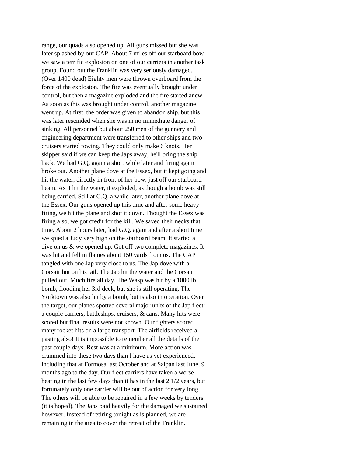range, our quads also opened up. All guns missed but she was later splashed by our CAP. About 7 miles off our starboard bow we saw a terrific explosion on one of our carriers in another task group. Found out the Franklin was very seriously damaged. (Over 1400 dead) Eighty men were thrown overboard from the force of the explosion. The fire was eventually brought under control, but then a magazine exploded and the fire started anew. As soon as this was brought under control, another magazine went up. At first, the order was given to abandon ship, but this was later rescinded when she was in no immediate danger of sinking. All personnel but about 250 men of the gunnery and engineering department were transferred to other ships and two cruisers started towing. They could only make 6 knots. Her skipper said if we can keep the Japs away, he'll bring the ship back. We had G.Q. again a short while later and firing again broke out. Another plane dove at the Essex, but it kept going and hit the water, directly in front of her bow, just off our starboard beam. As it hit the water, it exploded, as though a bomb was still being carried. Still at G.Q. a while later, another plane dove at the Essex. Our guns opened up this time and after some heavy firing, we hit the plane and shot it down. Thought the Essex was firing also, we got credit for the kill. We saved their necks that time. About 2 hours later, had G.Q. again and after a short time we spied a Judy very high on the starboard beam. It started a dive on us & we opened up. Got off two complete magazines. It was hit and fell in flames about 150 yards from us. The CAP tangled with one Jap very close to us. The Jap dove with a Corsair hot on his tail. The Jap hit the water and the Corsair pulled out. Much fire all day. The Wasp was hit by a 1000 lb. bomb, flooding her 3rd deck, but she is still operating. The Yorktown was also hit by a bomb, but is also in operation. Over the target, our planes spotted several major units of the Jap fleet: a couple carriers, battleships, cruisers, & cans. Many hits were scored but final results were not known. Our fighters scored many rocket hits on a large transport. The airfields received a pasting also! It is impossible to remember all the details of the past couple days. Rest was at a minimum. More action was crammed into these two days than I have as yet experienced, including that at Formosa last October and at Saipan last June, 9 months ago to the day. Our fleet carriers have taken a worse beating in the last few days than it has in the last 2 1/2 years, but fortunately only one carrier will be out of action for very long. The others will be able to be repaired in a few weeks by tenders (it is hoped). The Japs paid heavily for the damaged we sustained however. Instead of retiring tonight as is planned, we are remaining in the area to cover the retreat of the Franklin.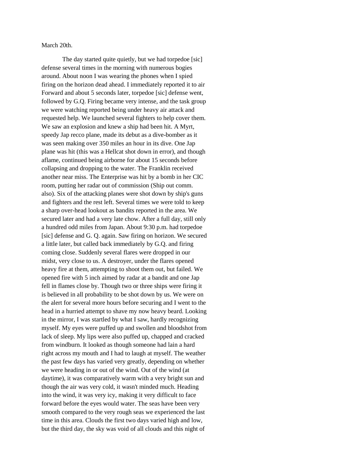March 20th.

The day started quite quietly, but we had torpedoe [sic] defense several times in the morning with numerous bogies around. About noon I was wearing the phones when I spied firing on the horizon dead ahead. I immediately reported it to air Forward and about 5 seconds later, torpedoe [sic] defense went, followed by G.Q. Firing became very intense, and the task group we were watching reported being under heavy air attack and requested help. We launched several fighters to help cover them. We saw an explosion and knew a ship had been hit. A Myrt, speedy Jap recco plane, made its debut as a dive-bomber as it was seen making over 350 miles an hour in its dive. One Jap plane was hit (this was a Hellcat shot down in error), and though aflame, continued being airborne for about 15 seconds before collapsing and dropping to the water. The Franklin received another near miss. The Enterprise was hit by a bomb in her CIC room, putting her radar out of commission (Ship out comm. also). Six of the attacking planes were shot down by ship's guns and fighters and the rest left. Several times we were told to keep a sharp over-head lookout as bandits reported in the area. We secured later and had a very late chow. After a full day, still only a hundred odd miles from Japan. About 9:30 p.m. had torpedoe [sic] defense and G. Q. again. Saw firing on horizon. We secured a little later, but called back immediately by G.Q. and firing coming close. Suddenly several flares were dropped in our midst, very close to us. A destroyer, under the flares opened heavy fire at them, attempting to shoot them out, but failed. We opened fire with 5 inch aimed by radar at a bandit and one Jap fell in flames close by. Though two or three ships were firing it is believed in all probability to be shot down by us. We were on the alert for several more hours before securing and I went to the head in a hurried attempt to shave my now heavy beard. Looking in the mirror, I was startled by what I saw, hardly recognizing myself. My eyes were puffed up and swollen and bloodshot from lack of sleep. My lips were also puffed up, chapped and cracked from windburn. It looked as though someone had lain a hard right across my mouth and I had to laugh at myself. The weather the past few days has varied very greatly, depending on whether we were heading in or out of the wind. Out of the wind (at daytime), it was comparatively warm with a very bright sun and though the air was very cold, it wasn't minded much. Heading into the wind, it was very icy, making it very difficult to face forward before the eyes would water. The seas have been very smooth compared to the very rough seas we experienced the last time in this area. Clouds the first two days varied high and low, but the third day, the sky was void of all clouds and this night of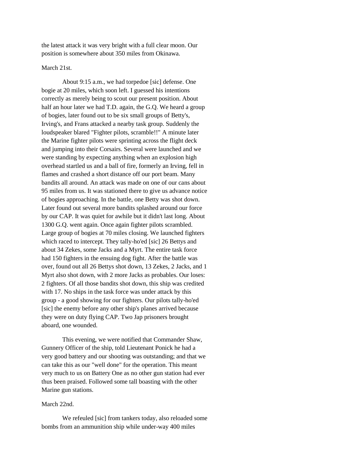the latest attack it was very bright with a full clear moon. Our position is somewhere about 350 miles from Okinawa.

March 21st.

About 9:15 a.m., we had torpedoe [sic] defense. One bogie at 20 miles, which soon left. I guessed his intentions correctly as merely being to scout our present position. About half an hour later we had T.D. again, the G.Q. We heard a group of bogies, later found out to be six small groups of Betty's, Irving's, and Frans attacked a nearby task group. Suddenly the loudspeaker blared "Fighter pilots, scramble!!" A minute later the Marine fighter pilots were sprinting across the flight deck and jumping into their Corsairs. Several were launched and we were standing by expecting anything when an explosion high overhead startled us and a ball of fire, formerly an Irving, fell in flames and crashed a short distance off our port beam. Many bandits all around. An attack was made on one of our cans about 95 miles from us. It was stationed there to give us advance notice of bogies approaching. In the battle, one Betty was shot down. Later found out several more bandits splashed around our force by our CAP. It was quiet for awhile but it didn't last long. About 1300 G.Q. went again. Once again fighter pilots scrambled. Large group of bogies at 70 miles closing. We launched fighters which raced to intercept. They tally-ho'ed [sic] 26 Bettys and about 34 Zekes, some Jacks and a Myrt. The entire task force had 150 fighters in the ensuing dog fight. After the battle was over, found out all 26 Bettys shot down, 13 Zekes, 2 Jacks, and 1 Myrt also shot down, with 2 more Jacks as probables. Our loses: 2 fighters. Of all those bandits shot down, this ship was credited with 17. No ships in the task force was under attack by this group - a good showing for our fighters. Our pilots tally-ho'ed [sic] the enemy before any other ship's planes arrived because they were on duty flying CAP. Two Jap prisoners brought aboard, one wounded.

This evening, we were notified that Commander Shaw, Gunnery Officer of the ship, told Lieutenant Ponick he had a very good battery and our shooting was outstanding; and that we can take this as our "well done" for the operation. This meant very much to us on Battery One as no other gun station had ever thus been praised. Followed some tall boasting with the other Marine gun stations.

## March 22nd.

We refeuled [sic] from tankers today, also reloaded some bombs from an ammunition ship while under-way 400 miles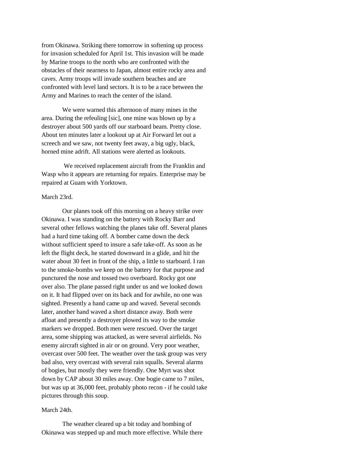from Okinawa. Striking there tomorrow in softening up process for invasion scheduled for April 1st. This invasion will be made by Marine troops to the north who are confronted with the obstacles of their nearness to Japan, almost entire rocky area and caves. Army troops will invade southern beaches and are confronted with level land sectors. It is to be a race between the Army and Marines to reach the center of the island.

We were warned this afternoon of many mines in the area. During the refeuling [sic], one mine was blown up by a destroyer about 500 yards off our starboard beam. Pretty close. About ten minutes later a lookout up at Air Forward let out a screech and we saw, not twenty feet away, a big ugly, black, horned mine adrift. All stations were alerted as lookouts.

We received replacement aircraft from the Franklin and Wasp who it appears are returning for repairs. Enterprise may be repaired at Guam with Yorktown.

## March 23rd.

Our planes took off this morning on a heavy strike over Okinawa. I was standing on the battery with Rocky Barr and several other fellows watching the planes take off. Several planes had a hard time taking off. A bomber came down the deck without sufficient speed to insure a safe take-off. As soon as he left the flight deck, he started downward in a glide, and hit the water about 30 feet in front of the ship, a little to starboard. I ran to the smoke-bombs we keep on the battery for that purpose and punctured the nose and tossed two overboard. Rocky got one over also. The plane passed right under us and we looked down on it. It had flipped over on its back and for awhile, no one was sighted. Presently a hand came up and waved. Several seconds later, another hand waved a short distance away. Both were afloat and presently a destroyer plowed its way to the smoke markers we dropped. Both men were rescued. Over the target area, some shipping was attacked, as were several airfields. No enemy aircraft sighted in air or on ground. Very poor weather, overcast over 500 feet. The weather over the task group was very bad also, very overcast with several rain squalls. Several alarms of bogies, but mostly they were friendly. One Myrt was shot down by CAP about 30 miles away. One bogie came to 7 miles, but was up at 36,000 feet, probably photo recon - if he could take pictures through this soup.

## March 24th.

The weather cleared up a bit today and bombing of Okinawa was stepped up and much more effective. While there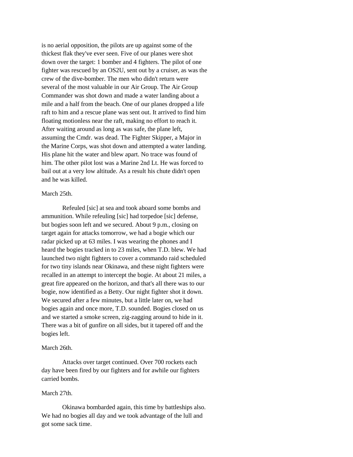is no aerial opposition, the pilots are up against some of the thickest flak they've ever seen. Five of our planes were shot down over the target: 1 bomber and 4 fighters. The pilot of one fighter was rescued by an OS2U, sent out by a cruiser, as was the crew of the dive-bomber. The men who didn't return were several of the most valuable in our Air Group. The Air Group Commander was shot down and made a water landing about a mile and a half from the beach. One of our planes dropped a life raft to him and a rescue plane was sent out. It arrived to find him floating motionless near the raft, making no effort to reach it. After waiting around as long as was safe, the plane left, assuming the Cmdr. was dead. The Fighter Skipper, a Major in the Marine Corps, was shot down and attempted a water landing. His plane hit the water and blew apart. No trace was found of him. The other pilot lost was a Marine 2nd Lt. He was forced to bail out at a very low altitude. As a result his chute didn't open and he was killed.

#### March 25th.

Refeuled [sic] at sea and took aboard some bombs and ammunition. While refeuling [sic] had torpedoe [sic] defense, but bogies soon left and we secured. About 9 p.m., closing on target again for attacks tomorrow, we had a bogie which our radar picked up at 63 miles. I was wearing the phones and I heard the bogies tracked in to 23 miles, when T.D. blew. We had launched two night fighters to cover a commando raid scheduled for two tiny islands near Okinawa, and these night fighters were recalled in an attempt to intercept the bogie. At about 21 miles, a great fire appeared on the horizon, and that's all there was to our bogie, now identified as a Betty. Our night fighter shot it down. We secured after a few minutes, but a little later on, we had bogies again and once more, T.D. sounded. Bogies closed on us and we started a smoke screen, zig-zagging around to hide in it. There was a bit of gunfire on all sides, but it tapered off and the bogies left.

#### March 26th.

Attacks over target continued. Over 700 rockets each day have been fired by our fighters and for awhile our fighters carried bombs.

#### March 27th.

Okinawa bombarded again, this time by battleships also. We had no bogies all day and we took advantage of the lull and got some sack time.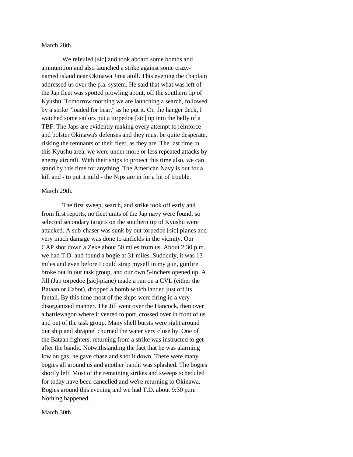March 28th.

We refeuled [sic] and took aboard some bombs and ammunition and also launched a strike against some crazynamed island near Okinawa Jima atoll. This evening the chaplain addressed us over the p.a. system. He said that what was left of the Jap fleet was spotted prowling about, off the southern tip of Kyushu. Tomorrow morning we are launching a search, followed by a strike "loaded for bear," as he put it. On the hanger deck, I watched some sailors put a torpedoe [sic] up into the belly of a TBF. The Japs are evidently making every attempt to reinforce and bolster Okinawa's defenses and they must be quite desperate, risking the remnants of their fleet, as they are. The last time in this Kyushu area, we were under more or less repeated attacks by enemy aircraft. With their ships to protect this time also, we can stand by this time for anything. The American Navy is out for a kill and - to put it mild - the Nips are in for a bit of trouble.

## March 29th.

The first sweep, search, and strike took off early and from first reports, no fleet units of the Jap navy were found, so selected secondary targets on the southern tip of Kyushu were attacked. A sub-chaser was sunk by out torpedoe [sic] planes and very much damage was done to airfields in the vicinity. Our CAP shot down a Zeke about 50 miles from us. About 2:30 p.m., we had T.D. and found a bogie at 31 miles. Suddenly, it was 13 miles and even before I could strap myself in my gun, gunfire broke out in our task group, and our own 5-inchers opened up. A Jill (Jap torpedoe [sic]-plane) made a run on a CVL (either the Bataan or Cabot), dropped a bomb which landed just off its fantail. By this time most of the ships were firing in a very disorganized manner. The Jill went over the Hancock, then over a battlewagon where it veered to port, crossed over in front of us and out of the task group. Many shell bursts were right around our ship and shrapnel churned the water very close by. One of the Bataan fighters, returning from a strike was instructed to get after the bandit. Notwithstanding the fact that he was alarming low on gas, he gave chase and shot it down. There were many bogies all around us and another bandit was splashed. The bogies shortly left. Most of the remaining strikes and sweeps scheduled for today have been cancelled and we're returning to Okinawa. Bogies around this evening and we had T.D. about 9:30 p.m. Nothing happened.

March 30th.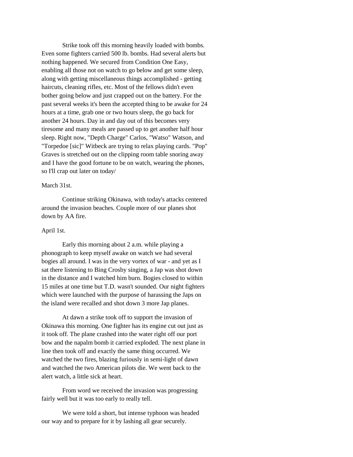Strike took off this morning heavily loaded with bombs. Even some fighters carried 500 lb. bombs. Had several alerts but nothing happened. We secured from Condition One Easy, enabling all those not on watch to go below and get some sleep, along with getting miscellaneous things accomplished - getting haircuts, cleaning rifles, etc. Most of the fellows didn't even bother going below and just crapped out on the battery. For the past several weeks it's been the accepted thing to be awake for 24 hours at a time, grab one or two hours sleep, the go back for another 24 hours. Day in and day out of this becomes very tiresome and many meals are passed up to get another half hour sleep. Right now, "Depth Charge" Carlos, "Watso" Watson, and "Torpedoe [sic]" Witbeck are trying to relax playing cards. "Pop" Graves is stretched out on the clipping room table snoring away and I have the good fortune to be on watch, wearing the phones, so I'll crap out later on today/

## March 31st.

Continue striking Okinawa, with today's attacks centered around the invasion beaches. Couple more of our planes shot down by AA fire.

## April 1st.

Early this morning about 2 a.m. while playing a phonograph to keep myself awake on watch we had several bogies all around. I was in the very vortex of war - and yet as I sat there listening to Bing Crosby singing, a Jap was shot down in the distance and I watched him burn. Bogies closed to within 15 miles at one time but T.D. wasn't sounded. Our night fighters which were launched with the purpose of harassing the Japs on the island were recalled and shot down 3 more Jap planes.

At dawn a strike took off to support the invasion of Okinawa this morning. One fighter has its engine cut out just as it took off. The plane crashed into the water right off our port bow and the napalm bomb it carried exploded. The next plane in line then took off and exactly the same thing occurred. We watched the two fires, blazing furiously in semi-light of dawn and watched the two American pilots die. We went back to the alert watch, a little sick at heart.

From word we received the invasion was progressing fairly well but it was too early to really tell.

We were told a short, but intense typhoon was headed our way and to prepare for it by lashing all gear securely.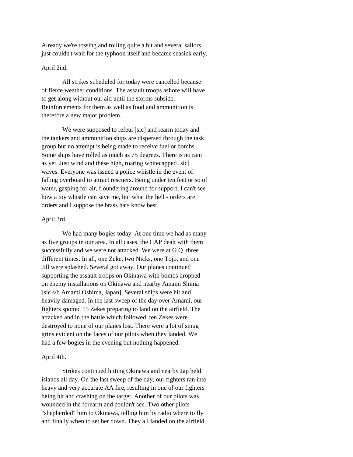Already we're tossing and rolling quite a bit and several sailors just couldn't wait for the typhoon itself and became seasick early.

## April 2nd.

All strikes scheduled for today were cancelled because of fierce weather conditions. The assault troops ashore will have to get along without our aid until the storms subside. Reinforcements for them as well as food and ammunition is therefore a new major problem.

We were supposed to refeul [sic] and rearm today and the tankers and ammunition ships are dispersed through the task group but no attempt is being made to receive fuel or bombs. Some ships have rolled as much as 75 degrees. There is no rain as yet. Just wind and these high, roaring whitecapped [sic] waves. Everyone was issued a police whistle in the event of falling overboard to attract rescuers. Being under ten feet or so of water, gasping for air, floundering around for support, I can't see how a toy whistle can save me, but what the hell - orders are orders and I suppose the brass hats know best.

## April 3rd.

We had many bogies today. At one time we had as many as five groups in our area. In all cases, the CAP dealt with them successfully and we were not attacked. We were at G.Q. three different times. In all, one Zeke, two Nicks, one Tojo, and one Jill were splashed. Several got away. Our planes continued supporting the assault troops on Okinawa with bombs dropped on enemy installations on Okinawa and nearby Amami Shima [sic s/b Amami Oshima, Japan]. Several ships were hit and heavily damaged. In the last sweep of the day over Amami, our fighters spotted 15 Zekes preparing to land on the airfield. The attacked and in the battle which followed, ten Zekes were destroyed to none of our planes lost. There were a lot of smug grins evident on the faces of our pilots when they landed. We had a few bogies in the evening but nothing happened.

## April 4th.

Strikes continued hitting Okinawa and nearby Jap held islands all day. On the last sweep of the day, our fighters ran into heavy and very accurate AA fire, resulting in one of our fighters being hit and crashing on the target. Another of our pilots was wounded in the forearm and couldn't see. Two other pilots "shepherded" him to Okinawa, telling him by radio where to fly and finally when to set her down. They all landed on the airfield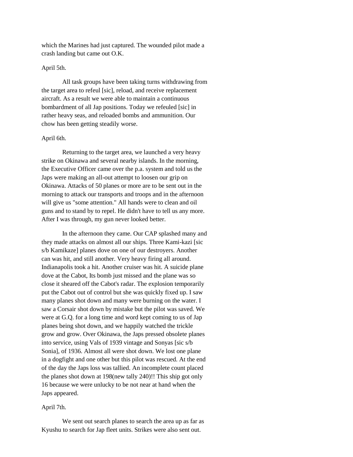which the Marines had just captured. The wounded pilot made a crash landing but came out O.K.

## April 5th.

All task groups have been taking turns withdrawing from the target area to refeul [sic], reload, and receive replacement aircraft. As a result we were able to maintain a continuous bombardment of all Jap positions. Today we refeuled [sic] in rather heavy seas, and reloaded bombs and ammunition. Our chow has been getting steadily worse.

#### April 6th.

Returning to the target area, we launched a very heavy strike on Okinawa and several nearby islands. In the morning, the Executive Officer came over the p.a. system and told us the Japs were making an all-out attempt to loosen our grip on Okinawa. Attacks of 50 planes or more are to be sent out in the morning to attack our transports and troops and in the afternoon will give us "some attention." All hands were to clean and oil guns and to stand by to repel. He didn't have to tell us any more. After I was through, my gun never looked better.

In the afternoon they came. Our CAP splashed many and they made attacks on almost all our ships. Three Kami-kazi [sic s/b Kamikaze] planes dove on one of our destroyers. Another can was hit, and still another. Very heavy firing all around. Indianapolis took a hit. Another cruiser was hit. A suicide plane dove at the Cabot, Its bomb just missed and the plane was so close it sheared off the Cabot's radar. The explosion temporarily put the Cabot out of control but she was quickly fixed up. I saw many planes shot down and many were burning on the water. I saw a Corsair shot down by mistake but the pilot was saved. We were at G.Q. for a long time and word kept coming to us of Jap planes being shot down, and we happily watched the trickle grow and grow. Over Okinawa, the Japs pressed obsolete planes into service, using Vals of 1939 vintage and Sonyas [sic s/b Sonia], of 1936. Almost all were shot down. We lost one plane in a dogfight and one other but this pilot was rescued. At the end of the day the Japs loss was tallied. An incomplete count placed the planes shot down at 198(new tally 240)!! This ship got only 16 because we were unlucky to be not near at hand when the Japs appeared.

#### April 7th.

We sent out search planes to search the area up as far as Kyushu to search for Jap fleet units. Strikes were also sent out.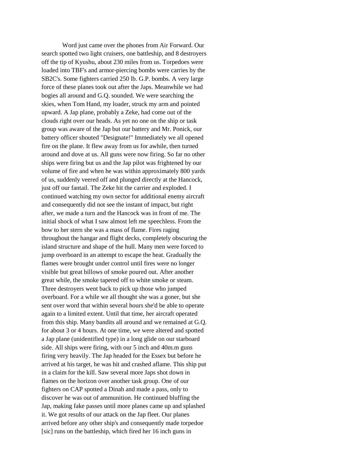Word just came over the phones from Air Forward. Our search spotted two light cruisers, one battleship, and 8 destroyers off the tip of Kyushu, about 230 miles from us. Torpedoes were loaded into TBF's and armor-piercing bombs were carries by the SB2C's. Some fighters carried 250 lb. G.P. bombs. A very large force of these planes took out after the Japs. Meanwhile we had bogies all around and G.Q. sounded. We were searching the skies, when Tom Hand, my loader, struck my arm and pointed upward. A Jap plane, probably a Zeke, had come out of the clouds right over our heads. As yet no one on the ship or task group was aware of the Jap but our battery and Mr. Ponick, our battery officer shouted "Designate!" Immediately we all opened fire on the plane. It flew away from us for awhile, then turned around and dove at us. All guns were now firing. So far no other ships were firing but us and the Jap pilot was frightened by our volume of fire and when he was within approximately 800 yards of us, suddenly veered off and plunged directly at the Hancock, just off our fantail. The Zeke hit the carrier and exploded. I continued watching my own sector for additional enemy aircraft and consequently did not see the instant of impact, but right after, we made a turn and the Hancock was in front of me. The initial shock of what I saw almost left me speechless. From the bow to her stern she was a mass of flame. Fires raging throughout the hangar and flight decks, completely obscuring the island structure and shape of the hull. Many men were forced to jump overboard in an attempt to escape the heat. Gradually the flames were brought under control until fires were no longer visible but great billows of smoke poured out. After another great while, the smoke tapered off to white smoke or steam. Three destroyers went back to pick up those who jumped overboard. For a while we all thought she was a goner, but she sent over word that within several hours she'd be able to operate again to a limited extent. Until that time, her aircraft operated from this ship. Many bandits all around and we remained at G.Q. for about 3 or 4 hours. At one time, we were altered and spotted a Jap plane (unidentified type) in a long glide on our starboard side. All ships were firing, with our 5 inch and 40m.m guns firing very heavily. The Jap headed for the Essex but before he arrived at his target, he was hit and crashed aflame. This ship put in a claim for the kill. Saw several more Japs shot down in flames on the horizon over another task group. One of our fighters on CAP spotted a Dinah and made a pass, only to discover he was out of ammunition. He continued bluffing the Jap, making fake passes until more planes came up and splashed it. We got results of our attack on the Jap fleet. Our planes arrived before any other ship's and consequently made torpedoe [sic] runs on the battleship, which fired her 16 inch guns in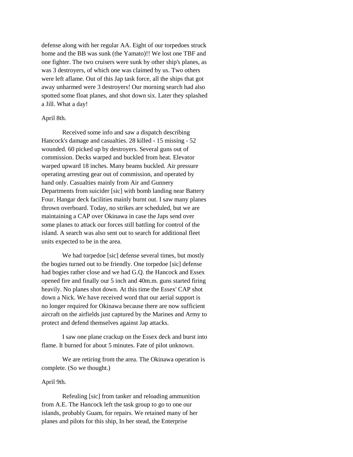defense along with her regular AA. Eight of our torpedoes struck home and the BB was sunk (the Yamato)!! We lost one TBF and one fighter. The two cruisers were sunk by other ship's planes, as was 3 destroyers, of which one was claimed by us. Two others were left aflame. Out of this Jap task force, all the ships that got away unharmed were 3 destroyers! Our morning search had also spotted some float planes, and shot down six. Later they splashed a Jill. What a day!

## April 8th.

Received some info and saw a dispatch describing Hancock's damage and casualties. 28 killed - 15 missing - 52 wounded. 60 picked up by destroyers. Several guns out of commission. Decks warped and buckled from heat. Elevator warped upward 18 inches. Many beams buckled. Air pressure operating arresting gear out of commission, and operated by hand only. Casualties mainly from Air and Gunnery Departments from suicider [sic] with bomb landing near Battery Four. Hangar deck facilities mainly burnt out. I saw many planes thrown overboard. Today, no strikes are scheduled, but we are maintaining a CAP over Okinawa in case the Japs send over some planes to attack our forces still battling for control of the island. A search was also sent out to search for additional fleet units expected to be in the area.

We had torpedoe [sic] defense several times, but mostly the bogies turned out to be friendly. One torpedoe [sic] defense had bogies rather close and we had G.Q. the Hancock and Essex opened fire and finally our 5 inch and 40m.m. guns started firing heavily. No planes shot down. At this time the Essex' CAP shot down a Nick. We have received word that our aerial support is no longer required for Okinawa because there are now sufficient aircraft on the airfields just captured by the Marines and Army to protect and defend themselves against Jap attacks.

I saw one plane crackup on the Essex deck and burst into flame. It burned for about 5 minutes. Fate of pilot unknown.

We are retiring from the area. The Okinawa operation is complete. (So we thought.)

## April 9th.

Refeuling [sic] from tanker and reloading ammunition from A.E. The Hancock left the task group to go to one our islands, probably Guam, for repairs. We retained many of her planes and pilots for this ship, In her stead, the Enterprise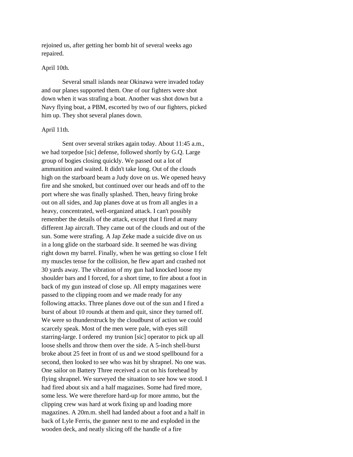rejoined us, after getting her bomb hit of several weeks ago repaired.

## April 10th.

Several small islands near Okinawa were invaded today and our planes supported them. One of our fighters were shot down when it was strafing a boat. Another was shot down but a Navy flying boat, a PBM, escorted by two of our fighters, picked him up. They shot several planes down.

## April 11th.

Sent over several strikes again today. About 11:45 a.m., we had torpedoe [sic] defense, followed shortly by G.Q. Large group of bogies closing quickly. We passed out a lot of ammunition and waited. It didn't take long. Out of the clouds high on the starboard beam a Judy dove on us. We opened heavy fire and she smoked, but continued over our heads and off to the port where she was finally splashed. Then, heavy firing broke out on all sides, and Jap planes dove at us from all angles in a heavy, concentrated, well-organized attack. I can't possibly remember the details of the attack, except that I fired at many different Jap aircraft. They came out of the clouds and out of the sun. Some were strafing. A Jap Zeke made a suicide dive on us in a long glide on the starboard side. It seemed he was diving right down my barrel. Finally, when he was getting so close I felt my muscles tense for the collision, he flew apart and crashed not 30 yards away. The vibration of my gun had knocked loose my shoulder bars and I forced, for a short time, to fire about a foot in back of my gun instead of close up. All empty magazines were passed to the clipping room and we made ready for any following attacks. Three planes dove out of the sun and I fired a burst of about 10 rounds at them and quit, since they turned off. We were so thunderstruck by the cloudburst of action we could scarcely speak. Most of the men were pale, with eyes still starring-large. I ordered my trunion [sic] operator to pick up all loose shells and throw them over the side. A 5-inch shell-burst broke about 25 feet in front of us and we stood spellbound for a second, then looked to see who was hit by shrapnel. No one was. One sailor on Battery Three received a cut on his forehead by flying shrapnel. We surveyed the situation to see how we stood. I had fired about six and a half magazines. Some had fired more, some less. We were therefore hard-up for more ammo, but the clipping crew was hard at work fixing up and loading more magazines. A 20m.m. shell had landed about a foot and a half in back of Lyle Ferris, the gunner next to me and exploded in the wooden deck, and neatly slicing off the handle of a fire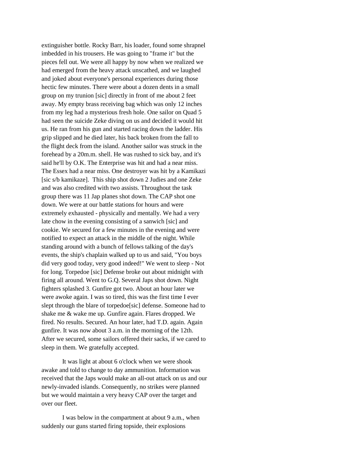extinguisher bottle. Rocky Barr, his loader, found some shrapnel imbedded in his trousers. He was going to "frame it" but the pieces fell out. We were all happy by now when we realized we had emerged from the heavy attack unscathed, and we laughed and joked about everyone's personal experiences during those hectic few minutes. There were about a dozen dents in a small group on my trunion [sic] directly in front of me about 2 feet away. My empty brass receiving bag which was only 12 inches from my leg had a mysterious fresh hole. One sailor on Quad 5 had seen the suicide Zeke diving on us and decided it would hit us. He ran from his gun and started racing down the ladder. His grip slipped and he died later, his back broken from the fall to the flight deck from the island. Another sailor was struck in the forehead by a 20m.m. shell. He was rushed to sick bay, and it's said he'll by O.K. The Enterprise was hit and had a near miss. The Essex had a near miss. One destroyer was hit by a Kamikazi [sic s/b kamikaze]. This ship shot down 2 Judies and one Zeke and was also credited with two assists. Throughout the task group there was 11 Jap planes shot down. The CAP shot one down. We were at our battle stations for hours and were extremely exhausted - physically and mentally. We had a very late chow in the evening consisting of a sanwich [sic] and cookie. We secured for a few minutes in the evening and were notified to expect an attack in the middle of the night. While standing around with a bunch of fellows talking of the day's events, the ship's chaplain walked up to us and said, "You boys did very good today, very good indeed!" We went to sleep - Not for long. Torpedoe [sic] Defense broke out about midnight with firing all around. Went to G.Q. Several Japs shot down. Night fighters splashed 3. Gunfire got two. About an hour later we were awoke again. I was so tired, this was the first time I ever slept through the blare of torpedoe[sic] defense. Someone had to shake me & wake me up. Gunfire again. Flares dropped. We fired. No results. Secured. An hour later, had T.D. again. Again gunfire. It was now about 3 a.m. in the morning of the 12th. After we secured, some sailors offered their sacks, if we cared to sleep in them. We gratefully accepted.

It was light at about 6 o'clock when we were shook awake and told to change to day ammunition. Information was received that the Japs would make an all-out attack on us and our newly-invaded islands. Consequently, no strikes were planned but we would maintain a very heavy CAP over the target and over our fleet.

I was below in the compartment at about 9 a.m., when suddenly our guns started firing topside, their explosions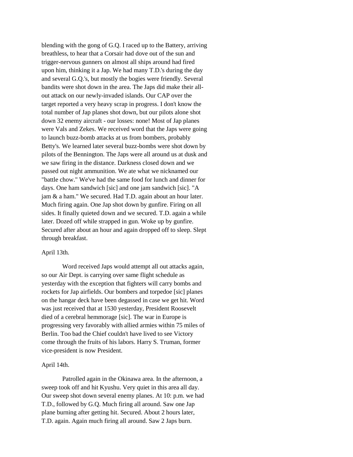blending with the gong of G.Q. I raced up to the Battery, arriving breathless, to hear that a Corsair had dove out of the sun and trigger-nervous gunners on almost all ships around had fired upon him, thinking it a Jap. We had many T.D.'s during the day and several G.Q.'s, but mostly the bogies were friendly. Several bandits were shot down in the area. The Japs did make their allout attack on our newly-invaded islands. Our CAP over the target reported a very heavy scrap in progress. I don't know the total number of Jap planes shot down, but our pilots alone shot down 32 enemy aircraft - our losses: none! Most of Jap planes were Vals and Zekes. We received word that the Japs were going to launch buzz-bomb attacks at us from bombers, probably Betty's. We learned later several buzz-bombs were shot down by pilots of the Bennington. The Japs were all around us at dusk and we saw firing in the distance. Darkness closed down and we passed out night ammunition. We ate what we nicknamed our "battle chow." We've had the same food for lunch and dinner for days. One ham sandwich [sic] and one jam sandwich [sic]. "A jam & a ham." We secured. Had T.D. again about an hour later. Much firing again. One Jap shot down by gunfire. Firing on all sides. It finally quieted down and we secured. T.D. again a while later. Dozed off while strapped in gun. Woke up by gunfire. Secured after about an hour and again dropped off to sleep. Slept through breakfast.

## April 13th.

Word received Japs would attempt all out attacks again, so our Air Dept. is carrying over same flight schedule as yesterday with the exception that fighters will carry bombs and rockets for Jap airfields. Our bombers and torpedoe [sic] planes on the hangar deck have been degassed in case we get hit. Word was just received that at 1530 yesterday, President Roosevelt died of a cerebral hemmorage [sic]. The war in Europe is progressing very favorably with allied armies within 75 miles of Berlin. Too bad the Chief couldn't have lived to see Victory come through the fruits of his labors. Harry S. Truman, former vice-president is now President.

#### April 14th.

Patrolled again in the Okinawa area. In the afternoon, a sweep took off and hit Kyushu. Very quiet in this area all day. Our sweep shot down several enemy planes. At 10: p.m. we had T.D., followed by G.Q. Much firing all around. Saw one Jap plane burning after getting hit. Secured. About 2 hours later, T.D. again. Again much firing all around. Saw 2 Japs burn.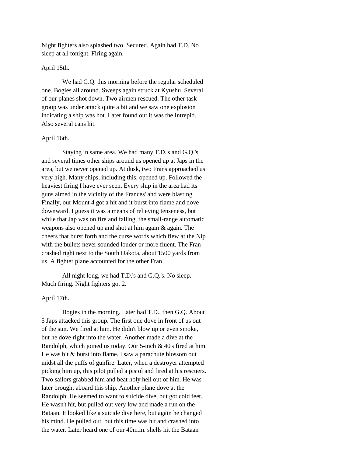Night fighters also splashed two. Secured. Again had T.D. No sleep at all tonight. Firing again.

## April 15th.

We had G.Q. this morning before the regular scheduled one. Bogies all around. Sweeps again struck at Kyushu. Several of our planes shot down. Two airmen rescued. The other task group was under attack quite a bit and we saw one explosion indicating a ship was hot. Later found out it was the Intrepid. Also several cans hit.

#### April 16th.

Staying in same area. We had many T.D.'s and G.Q.'s and several times other ships around us opened up at Japs in the area, but we never opened up. At dusk, two Frans approached us very high. Many ships, including this, opened up. Followed the heaviest firing I have ever seen. Every ship in the area had its guns aimed in the vicinity of the Frances' and were blasting. Finally, our Mount 4 got a hit and it burst into flame and dove downward. I guess it was a means of relieving tenseness, but while that Jap was on fire and falling, the small-range automatic weapons also opened up and shot at him again & again. The cheers that burst forth and the curse words which flew at the Nip with the bullets never sounded louder or more fluent. The Fran crashed right next to the South Dakota, about 1500 yards from us. A fighter plane accounted for the other Fran.

All night long, we had T.D.'s and G.Q.'s. No sleep. Much firing. Night fighters got 2.

## April 17th.

Bogies in the morning. Later had T.D., then G.Q. About 5 Japs attacked this group. The first one dove in front of us out of the sun. We fired at him. He didn't blow up or even smoke, but he dove right into the water. Another made a dive at the Randolph, which joined us today. Our 5-inch & 40's fired at him. He was hit & burst into flame. I saw a parachute blossom out midst all the puffs of gunfire. Later, when a destroyer attempted picking him up, this pilot pulled a pistol and fired at his rescuers. Two sailors grabbed him and beat holy hell out of him. He was later brought aboard this ship. Another plane dove at the Randolph. He seemed to want to suicide dive, but got cold feet. He wasn't hit, but pulled out very low and made a run on the Bataan. It looked like a suicide dive here, but again he changed his mind. He pulled out, but this time was hit and crashed into the water. Later heard one of our 40m.m. shells hit the Bataan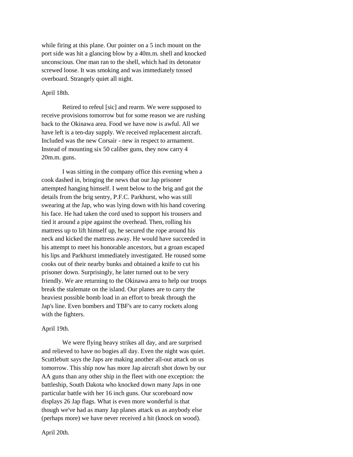while firing at this plane. Our pointer on a 5 inch mount on the port side was hit a glancing blow by a 40m.m. shell and knocked unconscious. One man ran to the shell, which had its detonator screwed loose. It was smoking and was immediately tossed overboard. Strangely quiet all night.

## April 18th.

Retired to refeul [sic] and rearm. We were supposed to receive provisions tomorrow but for some reason we are rushing back to the Okinawa area. Food we have now is awful. All we have left is a ten-day supply. We received replacement aircraft. Included was the new Corsair - new in respect to armament. Instead of mounting six 50 caliber guns, they now carry 4 20m.m. guns.

I was sitting in the company office this evening when a cook dashed in, bringing the news that our Jap prisoner attempted hanging himself. I went below to the brig and got the details from the brig sentry, P.F.C. Parkhurst, who was still swearing at the Jap, who was lying down with his hand covering his face. He had taken the cord used to support his trousers and tied it around a pipe against the overhead. Then, rolling his mattress up to lift himself up, he secured the rope around his neck and kicked the mattress away. He would have succeeded in his attempt to meet his honorable ancestors, but a groan escaped his lips and Parkhurst immediately investigated. He roused some cooks out of their nearby bunks and obtained a knife to cut his prisoner down. Surprisingly, he later turned out to be very friendly. We are returning to the Okinawa area to help our troops break the stalemate on the island. Our planes are to carry the heaviest possible bomb load in an effort to break through the Jap's line. Even bombers and TBF's are to carry rockets along with the fighters.

#### April 19th.

We were flying heavy strikes all day, and are surprised and relieved to have no bogies all day. Even the night was quiet. Scuttlebutt says the Japs are making another all-out attack on us tomorrow. This ship now has more Jap aircraft shot down by our AA guns than any other ship in the fleet with one exception: the battleship, South Dakota who knocked down many Japs in one particular battle with her 16 inch guns. Our scoreboard now displays 26 Jap flags. What is even more wonderful is that though we've had as many Jap planes attack us as anybody else (perhaps more) we have never received a hit (knock on wood).

April 20th.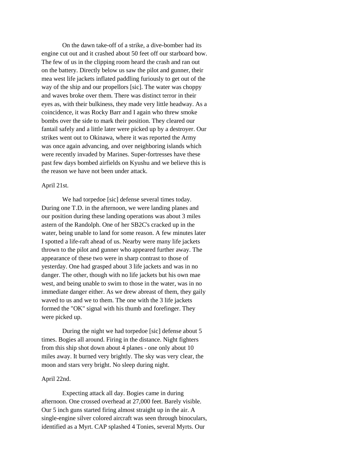On the dawn take-off of a strike, a dive-bomber had its engine cut out and it crashed about 50 feet off our starboard bow. The few of us in the clipping room heard the crash and ran out on the battery. Directly below us saw the pilot and gunner, their mea west life jackets inflated paddling furiously to get out of the way of the ship and our propellors [sic]. The water was choppy and waves broke over them. There was distinct terror in their eyes as, with their bulkiness, they made very little headway. As a coincidence, it was Rocky Barr and I again who threw smoke bombs over the side to mark their position. They cleared our fantail safely and a little later were picked up by a destroyer. Our strikes went out to Okinawa, where it was reported the Army was once again advancing, and over neighboring islands which were recently invaded by Marines. Super-fortresses have these past few days bombed airfields on Kyushu and we believe this is the reason we have not been under attack.

#### April 21st.

We had torpedoe [sic] defense several times today. During one T.D. in the afternoon, we were landing planes and our position during these landing operations was about 3 miles astern of the Randolph. One of her SB2C's cracked up in the water, being unable to land for some reason. A few minutes later I spotted a life-raft ahead of us. Nearby were many life jackets thrown to the pilot and gunner who appeared further away. The appearance of these two were in sharp contrast to those of yesterday. One had grasped about 3 life jackets and was in no danger. The other, though with no life jackets but his own mae west, and being unable to swim to those in the water, was in no immediate danger either. As we drew abreast of them, they gaily waved to us and we to them. The one with the 3 life jackets formed the "OK" signal with his thumb and forefinger. They were picked up.

During the night we had torpedoe [sic] defense about 5 times. Bogies all around. Firing in the distance. Night fighters from this ship shot down about 4 planes - one only about 10 miles away. It burned very brightly. The sky was very clear, the moon and stars very bright. No sleep during night.

## April 22nd.

Expecting attack all day. Bogies came in during afternoon. One crossed overhead at 27,000 feet. Barely visible. Our 5 inch guns started firing almost straight up in the air. A single-engine silver colored aircraft was seen through binoculars, identified as a Myrt. CAP splashed 4 Tonies, several Myrts. Our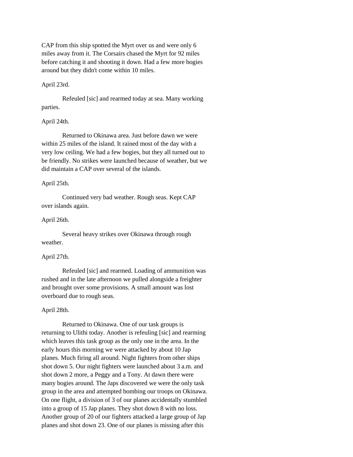CAP from this ship spotted the Myrt over us and were only 6 miles away from it. The Corsairs chased the Myrt for 92 miles before catching it and shooting it down. Had a few more bogies around but they didn't come within 10 miles.

## April 23rd.

Refeuled [sic] and rearmed today at sea. Many working parties.

## April 24th.

Returned to Okinawa area. Just before dawn we were within 25 miles of the island. It rained most of the day with a very low ceiling. We had a few bogies, but they all turned out to be friendly. No strikes were launched because of weather, but we did maintain a CAP over several of the islands.

## April 25th.

Continued very bad weather. Rough seas. Kept CAP over islands again.

## April 26th.

Several heavy strikes over Okinawa through rough weather.

## April 27th.

Refeuled [sic] and rearmed. Loading of ammunition was rushed and in the late afternoon we pulled alongside a freighter and brought over some provisions. A small amount was lost overboard due to rough seas.

#### April 28th.

Returned to Okinawa. One of our task groups is returning to Ulithi today. Another is refeuling [sic] and rearming which leaves this task group as the only one in the area. In the early hours this morning we were attacked by about 10 Jap planes. Much firing all around. Night fighters from other ships shot down 5. Our night fighters were launched about 3 a.m. and shot down 2 more, a Peggy and a Tony. At dawn there were many bogies around. The Japs discovered we were the only task group in the area and attempted bombing our troops on Okinawa. On one flight, a division of 3 of our planes accidentally stumbled into a group of 15 Jap planes. They shot down 8 with no loss. Another group of 20 of our fighters attacked a large group of Jap planes and shot down 23. One of our planes is missing after this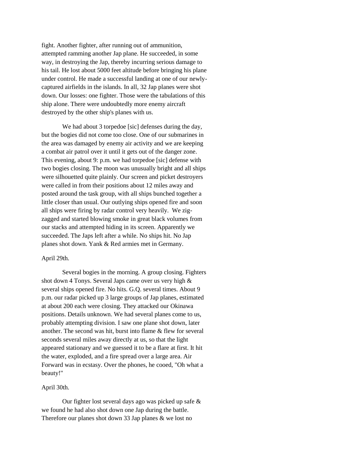fight. Another fighter, after running out of ammunition, attempted ramming another Jap plane. He succeeded, in some way, in destroying the Jap, thereby incurring serious damage to his tail. He lost about 5000 feet altitude before bringing his plane under control. He made a successful landing at one of our newlycaptured airfields in the islands. In all, 32 Jap planes were shot down. Our losses: one fighter. Those were the tabulations of this ship alone. There were undoubtedly more enemy aircraft destroyed by the other ship's planes with us.

We had about 3 torpedoe [sic] defenses during the day, but the bogies did not come too close. One of our submarines in the area was damaged by enemy air activity and we are keeping a combat air patrol over it until it gets out of the danger zone. This evening, about 9: p.m. we had torpedoe [sic] defense with two bogies closing. The moon was unusually bright and all ships were silhouetted quite plainly. Our screen and picket destroyers were called in from their positions about 12 miles away and posted around the task group, with all ships bunched together a little closer than usual. Our outlying ships opened fire and soon all ships were firing by radar control very heavily. We zigzagged and started blowing smoke in great black volumes from our stacks and attempted hiding in its screen. Apparently we succeeded. The Japs left after a while. No ships hit. No Jap planes shot down. Yank & Red armies met in Germany.

#### April 29th.

Several bogies in the morning. A group closing. Fighters shot down 4 Tonys. Several Japs came over us very high & several ships opened fire. No hits. G.Q. several times. About 9 p.m. our radar picked up 3 large groups of Jap planes, estimated at about 200 each were closing. They attacked our Okinawa positions. Details unknown. We had several planes come to us, probably attempting division. I saw one plane shot down, later another. The second was hit, burst into flame & flew for several seconds several miles away directly at us, so that the light appeared stationary and we guessed it to be a flare at first. It hit the water, exploded, and a fire spread over a large area. Air Forward was in ecstasy. Over the phones, he cooed, "Oh what a beauty!"

## April 30th.

Our fighter lost several days ago was picked up safe & we found he had also shot down one Jap during the battle. Therefore our planes shot down 33 Jap planes & we lost no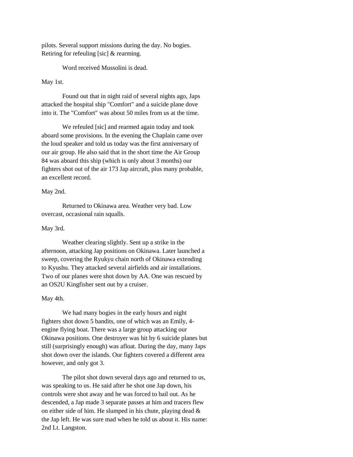pilots. Several support missions during the day. No bogies. Retiring for refeuling [sic] & rearming.

Word received Mussolini is dead.

## May 1st.

Found out that in night raid of several nights ago, Japs attacked the hospital ship "Comfort" and a suicide plane dove into it. The "Comfort" was about 50 miles from us at the time.

We refeuled [sic] and rearmed again today and took aboard some provisions. In the evening the Chaplain came over the loud speaker and told us today was the first anniversary of our air group. He also said that in the short time the Air Group 84 was aboard this ship (which is only about 3 months) our fighters shot out of the air 173 Jap aircraft, plus many probable, an excellent record.

## May 2nd.

Returned to Okinawa area. Weather very bad. Low overcast, occasional rain squalls.

## May 3rd.

Weather clearing slightly. Sent up a strike in the afternoon, attacking Jap positions on Okinawa. Later launched a sweep, covering the Ryukyu chain north of Okinawa extending to Kyushu. They attacked several airfields and air installations. Two of our planes were shot down by AA. One was rescued by an OS2U Kingfisher sent out by a cruiser.

#### May 4th.

We had many bogies in the early hours and night fighters shot down 5 bandits, one of which was an Emily, 4 engine flying boat. There was a large group attacking our Okinawa positions. One destroyer was hit by 6 suicide planes but still (surprisingly enough) was afloat. During the day, many Japs shot down over the islands. Our fighters covered a different area however, and only got 3.

The pilot shot down several days ago and returned to us, was speaking to us. He said after he shot one Jap down, his controls were shot away and he was forced to bail out. As he descended, a Jap made 3 separate passes at him and tracers flew on either side of him. He slumped in his chute, playing dead  $\&$ the Jap left. He was sure mad when he told us about it. His name: 2nd Lt. Langston.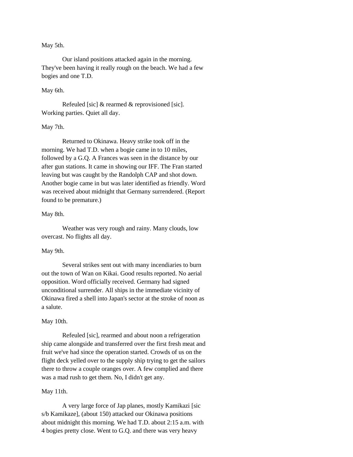## May 5th.

Our island positions attacked again in the morning. They've been having it really rough on the beach. We had a few bogies and one T.D.

## May 6th.

Refeuled [sic] & rearmed & reprovisioned [sic]. Working parties. Quiet all day.

## May 7th.

Returned to Okinawa. Heavy strike took off in the morning. We had T.D. when a bogie came in to 10 miles, followed by a G.Q. A Frances was seen in the distance by our after gun stations. It came in showing our IFF. The Fran started leaving but was caught by the Randolph CAP and shot down. Another bogie came in but was later identified as friendly. Word was received about midnight that Germany surrendered. (Report found to be premature.)

#### May 8th.

Weather was very rough and rainy. Many clouds, low overcast. No flights all day.

#### May 9th.

Several strikes sent out with many incendiaries to burn out the town of Wan on Kikai. Good results reported. No aerial opposition. Word officially received. Germany had signed unconditional surrender. All ships in the immediate vicinity of Okinawa fired a shell into Japan's sector at the stroke of noon as a salute.

#### May 10th.

Refeuled [sic], rearmed and about noon a refrigeration ship came alongside and transferred over the first fresh meat and fruit we've had since the operation started. Crowds of us on the flight deck yelled over to the supply ship trying to get the sailors there to throw a couple oranges over. A few complied and there was a mad rush to get them. No, I didn't get any.

#### May 11th.

A very large force of Jap planes, mostly Kamikazi [sic s/b Kamikaze], (about 150) attacked our Okinawa positions about midnight this morning. We had T.D. about 2:15 a.m. with 4 bogies pretty close. Went to G.Q. and there was very heavy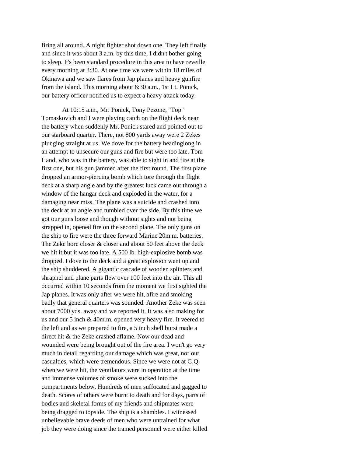firing all around. A night fighter shot down one. They left finally and since it was about 3 a.m. by this time, I didn't bother going to sleep. It's been standard procedure in this area to have reveille every morning at 3:30. At one time we were within 18 miles of Okinawa and we saw flares from Jap planes and heavy gunfire from the island. This morning about 6:30 a.m., 1st Lt. Ponick, our battery officer notified us to expect a heavy attack today.

At 10:15 a.m., Mr. Ponick, Tony Pezone, "Top" Tomaskovich and I were playing catch on the flight deck near the battery when suddenly Mr. Ponick stared and pointed out to our starboard quarter. There, not 800 yards away were 2 Zekes plunging straight at us. We dove for the battery headinglong in an attempt to unsecure our guns and fire but were too late. Tom Hand, who was in the battery, was able to sight in and fire at the first one, but his gun jammed after the first round. The first plane dropped an armor-piercing bomb which tore through the flight deck at a sharp angle and by the greatest luck came out through a window of the hangar deck and exploded in the water, for a damaging near miss. The plane was a suicide and crashed into the deck at an angle and tumbled over the side. By this time we got our guns loose and though without sights and not being strapped in, opened fire on the second plane. The only guns on the ship to fire were the three forward Marine 20m.m. batteries. The Zeke bore closer  $&$  closer and about 50 feet above the deck we hit it but it was too late. A 500 lb. high-explosive bomb was dropped. I dove to the deck and a great explosion went up and the ship shuddered. A gigantic cascade of wooden splinters and shrapnel and plane parts flew over 100 feet into the air. This all occurred within 10 seconds from the moment we first sighted the Jap planes. It was only after we were hit, afire and smoking badly that general quarters was sounded. Another Zeke was seen about 7000 yds. away and we reported it. It was also making for us and our 5 inch & 40m.m. opened very heavy fire. It veered to the left and as we prepared to fire, a 5 inch shell burst made a direct hit & the Zeke crashed aflame. Now our dead and wounded were being brought out of the fire area. I won't go very much in detail regarding our damage which was great, nor our casualties, which were tremendous. Since we were not at G.Q. when we were hit, the ventilators were in operation at the time and immense volumes of smoke were sucked into the compartments below. Hundreds of men suffocated and gagged to death. Scores of others were burnt to death and for days, parts of bodies and skeletal forms of my friends and shipmates were being dragged to topside. The ship is a shambles. I witnessed unbelievable brave deeds of men who were untrained for what job they were doing since the trained personnel were either killed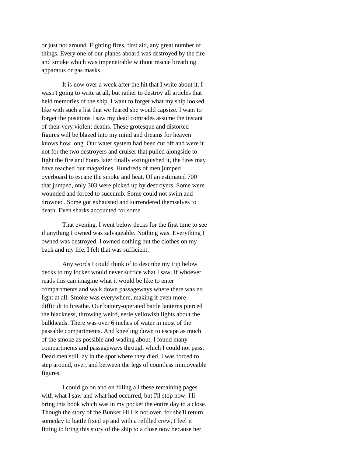or just not around. Fighting fires, first aid, any great number of things. Every one of our planes aboard was destroyed by the fire and smoke which was impenetrable without rescue breathing apparatus or gas masks.

It is now over a week after the hit that I write about it. I wasn't going to write at all, but rather to destroy all articles that held memories of the ship. I want to forget what my ship looked like with such a list that we feared she would capsize. I want to forget the positions I saw my dead comrades assume the instant of their very violent deaths. These grotesque and distorted figures will be blazed into my mind and dreams for heaven knows how long. Our water system had been cut off and were it not for the two destroyers and cruiser that pulled alongside to fight the fire and hours later finally extinguished it, the fires may have reached our magazines. Hundreds of men jumped overboard to escape the smoke and heat. Of an estimated 700 that jumped, only 303 were picked up by destroyers. Some were wounded and forced to succumb. Some could not swim and drowned. Some got exhausted and surrendered themselves to death. Even sharks accounted for some.

That evening, I went below decks for the first time to see if anything I owned was salvageable. Nothing was. Everything I owned was destroyed. I owned nothing but the clothes on my back and my life. I felt that was sufficient.

Any words I could think of to describe my trip below decks to my locker would never suffice what I saw. If whoever reads this can imagine what it would be like to enter compartments and walk down passageways where there was no light at all. Smoke was everywhere, making it even more difficult to breathe. Our battery-operated battle lanterns pierced the blackness, throwing weird, eerie yellowish lights about the bulkheads. There was over 6 inches of water in most of the passable compartments. And kneeling down to escape as much of the smoke as possible and wading about, I found many compartments and passageways through which I could not pass. Dead men still lay in the spot where they died. I was forced to step around, over, and between the legs of countless immoveable figures.

I could go on and on filling all these remaining pages with what I saw and what had occurred, but I'll stop now. I'll bring this book which was in my pocket the entire day to a close. Though the story of the Bunker Hill is not over, for she'll return someday to battle fixed up and with a refilled crew, I feel it fitting to bring this story of the ship to a close now because her